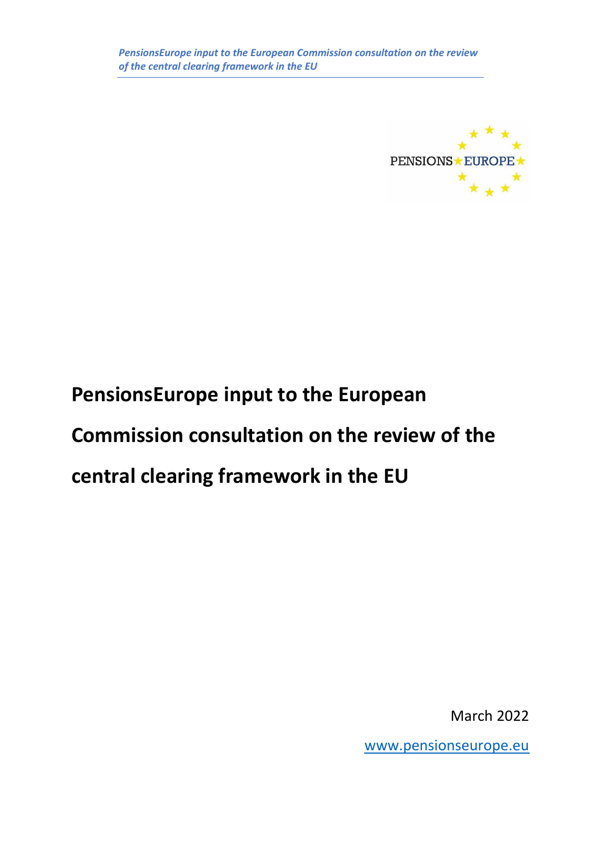

# **PensionsEurope input to the European**

# **Commission consultation on the review of the**

# **central clearing framework in the EU**

March 2022

[www.pensionseurope.eu](http://www.pensionseurope.eu/)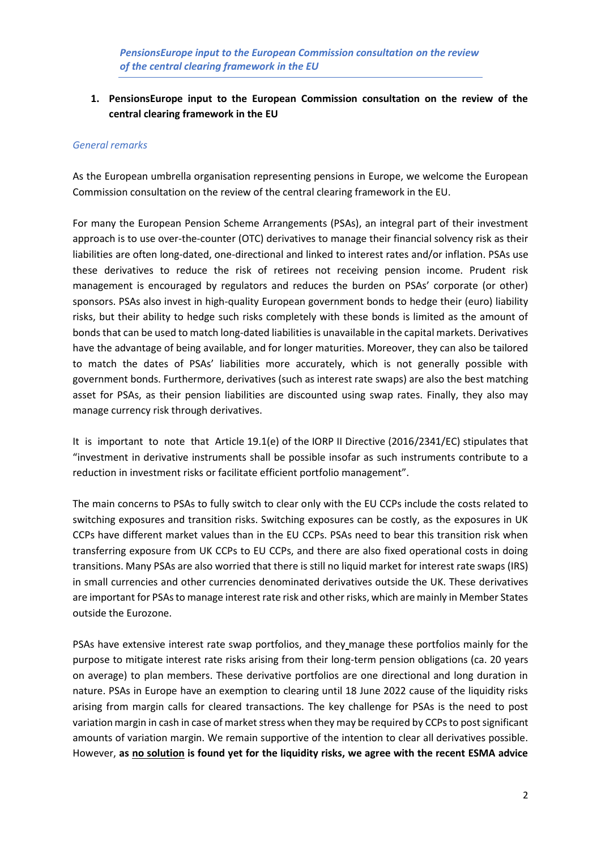#### *General remarks*

As the European umbrella organisation representing pensions in Europe, we welcome the European Commission consultation on the review of the central clearing framework in the EU.

For many the European Pension Scheme Arrangements (PSAs), an integral part of their investment approach is to use over-the-counter (OTC) derivatives to manage their financial solvency risk as their liabilities are often long-dated, one-directional and linked to interest rates and/or inflation. PSAs use these derivatives to reduce the risk of retirees not receiving pension income. Prudent risk management is encouraged by regulators and reduces the burden on PSAs' corporate (or other) sponsors. PSAs also invest in high-quality European government bonds to hedge their (euro) liability risks, but their ability to hedge such risks completely with these bonds is limited as the amount of bonds that can be used to match long-dated liabilities is unavailable in the capital markets. Derivatives have the advantage of being available, and for longer maturities. Moreover, they can also be tailored to match the dates of PSAs' liabilities more accurately, which is not generally possible with government bonds. Furthermore, derivatives (such as interest rate swaps) are also the best matching asset for PSAs, as their pension liabilities are discounted using swap rates. Finally, they also may manage currency risk through derivatives.

It is important to note that Article 19.1(e) of the IORP II Directive (2016/2341/EC) stipulates that "investment in derivative instruments shall be possible insofar as such instruments contribute to a reduction in investment risks or facilitate efficient portfolio management".

The main concerns to PSAs to fully switch to clear only with the EU CCPs include the costs related to switching exposures and transition risks. Switching exposures can be costly, as the exposures in UK CCPs have different market values than in the EU CCPs. PSAs need to bear this transition risk when transferring exposure from UK CCPs to EU CCPs, and there are also fixed operational costs in doing transitions. Many PSAs are also worried that there is still no liquid market for interest rate swaps (IRS) in small currencies and other currencies denominated derivatives outside the UK. These derivatives are important for PSAs to manage interest rate risk and other risks, which are mainly in Member States outside the Eurozone.

PSAs have extensive interest rate swap portfolios, and they manage these portfolios mainly for the purpose to mitigate interest rate risks arising from their long-term pension obligations (ca. 20 years on average) to plan members. These derivative portfolios are one directional and long duration in nature. PSAs in Europe have an exemption to clearing until 18 June 2022 cause of the liquidity risks arising from margin calls for cleared transactions. The key challenge for PSAs is the need to post variation margin in cash in case of market stress when they may be required by CCPs to post significant amounts of variation margin. We remain supportive of the intention to clear all derivatives possible. However, **as no solution is found yet for the liquidity risks, we agree with the recent ESMA advice**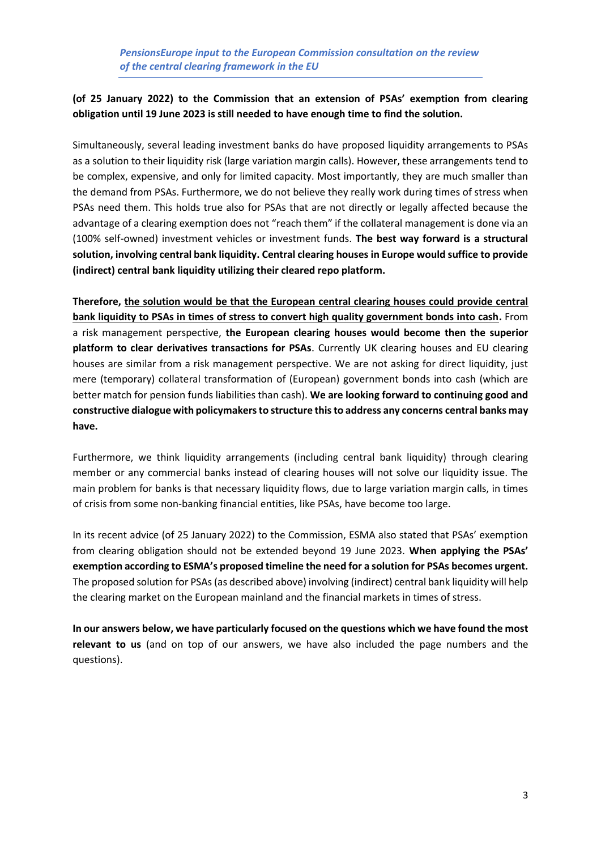## **(of 25 January 2022) to the Commission that an extension of PSAs' exemption from clearing obligation until 19 June 2023 is still needed to have enough time to find the solution.**

Simultaneously, several leading investment banks do have proposed liquidity arrangements to PSAs as a solution to their liquidity risk (large variation margin calls). However, these arrangements tend to be complex, expensive, and only for limited capacity. Most importantly, they are much smaller than the demand from PSAs. Furthermore, we do not believe they really work during times of stress when PSAs need them. This holds true also for PSAs that are not directly or legally affected because the advantage of a clearing exemption does not "reach them" if the collateral management is done via an (100% self-owned) investment vehicles or investment funds. **The best way forward is a structural solution, involving central bank liquidity. Central clearing houses in Europe would suffice to provide (indirect) central bank liquidity utilizing their cleared repo platform.**

**Therefore, the solution would be that the European central clearing houses could provide central bank liquidity to PSAs in times of stress to convert high quality government bonds into cash.** From a risk management perspective, **the European clearing houses would become then the superior platform to clear derivatives transactions for PSAs**. Currently UK clearing houses and EU clearing houses are similar from a risk management perspective. We are not asking for direct liquidity, just mere (temporary) collateral transformation of (European) government bonds into cash (which are better match for pension funds liabilities than cash). **We are looking forward to continuing good and constructive dialogue with policymakers to structure this to address any concerns central banks may have.**

Furthermore, we think liquidity arrangements (including central bank liquidity) through clearing member or any commercial banks instead of clearing houses will not solve our liquidity issue. The main problem for banks is that necessary liquidity flows, due to large variation margin calls, in times of crisis from some non-banking financial entities, like PSAs, have become too large.

In its recent advice (of 25 January 2022) to the Commission, ESMA also stated that PSAs' exemption from clearing obligation should not be extended beyond 19 June 2023. **When applying the PSAs' exemption according to ESMA's proposed timeline the need for a solution for PSAs becomes urgent.** The proposed solution for PSAs (as described above) involving (indirect) central bank liquidity will help the clearing market on the European mainland and the financial markets in times of stress.

**In our answers below, we have particularly focused on the questions which we have found the most relevant to us** (and on top of our answers, we have also included the page numbers and the questions).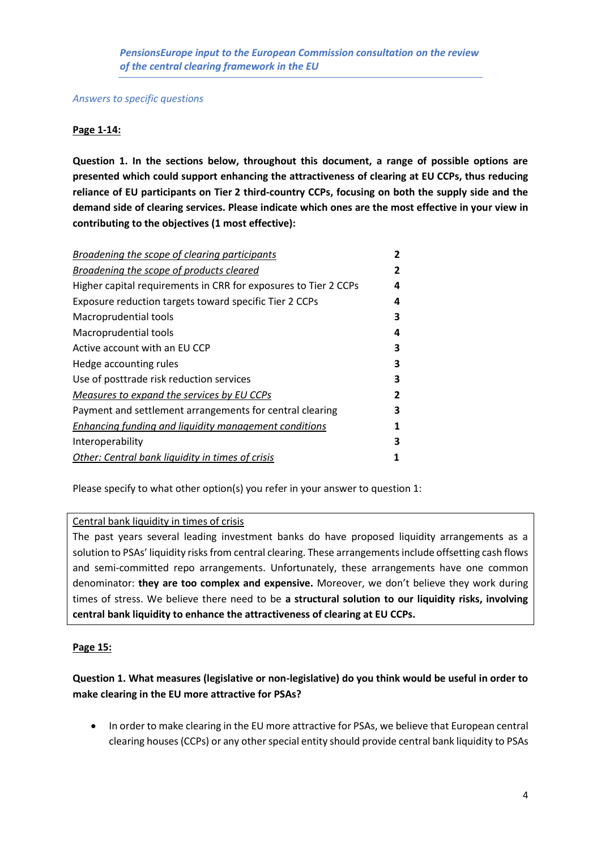*Answers to specific questions*

## **Page 1-14:**

**Question 1. In the sections below, throughout this document, a range of possible options are presented which could support enhancing the attractiveness of clearing at EU CCPs, thus reducing reliance of EU participants on Tier 2 third-country CCPs, focusing on both the supply side and the demand side of clearing services. Please indicate which ones are the most effective in your view in contributing to the objectives (1 most effective):**

| Broadening the scope of clearing participants                   | 2 |
|-----------------------------------------------------------------|---|
| <b>Broadening the scope of products cleared</b>                 | 2 |
| Higher capital requirements in CRR for exposures to Tier 2 CCPs | 4 |
| Exposure reduction targets toward specific Tier 2 CCPs          | 4 |
| Macroprudential tools                                           | 3 |
| Macroprudential tools                                           | 4 |
| Active account with an EU CCP                                   | 3 |
| Hedge accounting rules                                          | 3 |
| Use of posttrade risk reduction services                        | 3 |
| Measures to expand the services by EU CCPs                      | 2 |
| Payment and settlement arrangements for central clearing        | 3 |
| <b>Enhancing funding and liquidity management conditions</b>    | 1 |
| Interoperability                                                | 3 |
| Other: Central bank liquidity in times of crisis                | 1 |
|                                                                 |   |

Please specify to what other option(s) you refer in your answer to question 1:

#### Central bank liquidity in times of crisis

The past years several leading investment banks do have proposed liquidity arrangements as a solution to PSAs' liquidity risks from central clearing. These arrangements include offsetting cash flows and semi-committed repo arrangements. Unfortunately, these arrangements have one common denominator: **they are too complex and expensive.** Moreover, we don't believe they work during times of stress. We believe there need to be **a structural solution to our liquidity risks, involving central bank liquidity to enhance the attractiveness of clearing at EU CCPs.**

## **Page 15:**

## **Question 1. What measures (legislative or non-legislative) do you think would be useful in order to make clearing in the EU more attractive for PSAs?**

• In order to make clearing in the EU more attractive for PSAs, we believe that European central clearing houses (CCPs) or any other special entity should provide central bank liquidity to PSAs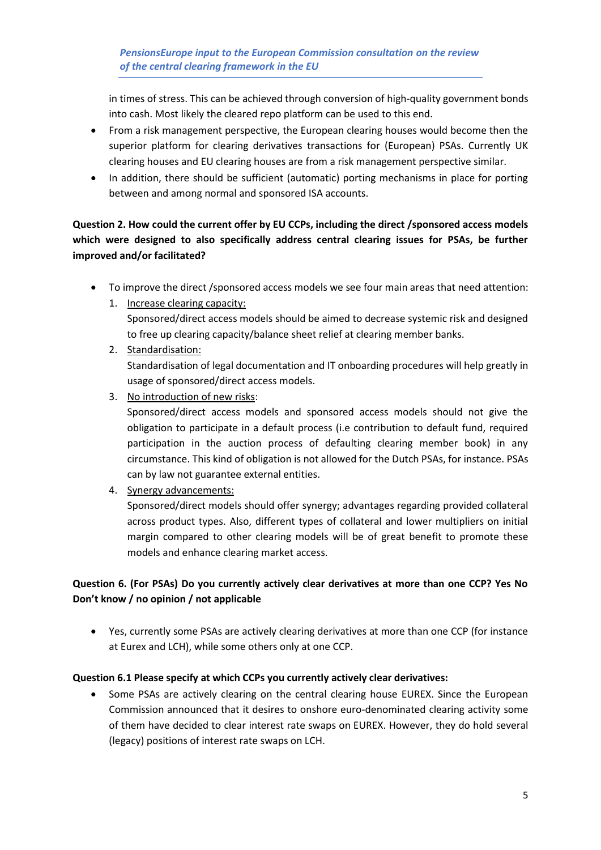in times of stress. This can be achieved through conversion of high-quality government bonds into cash. Most likely the cleared repo platform can be used to this end.

- From a risk management perspective, the European clearing houses would become then the superior platform for clearing derivatives transactions for (European) PSAs. Currently UK clearing houses and EU clearing houses are from a risk management perspective similar.
- In addition, there should be sufficient (automatic) porting mechanisms in place for porting between and among normal and sponsored ISA accounts.

# **Question 2. How could the current offer by EU CCPs, including the direct /sponsored access models which were designed to also specifically address central clearing issues for PSAs, be further improved and/or facilitated?**

- To improve the direct /sponsored access models we see four main areas that need attention:
	- 1. Increase clearing capacity: Sponsored/direct access models should be aimed to decrease systemic risk and designed to free up clearing capacity/balance sheet relief at clearing member banks.
	- 2. Standardisation: Standardisation of legal documentation and IT onboarding procedures will help greatly in usage of sponsored/direct access models.
	- 3. No introduction of new risks:

Sponsored/direct access models and sponsored access models should not give the obligation to participate in a default process (i.e contribution to default fund, required participation in the auction process of defaulting clearing member book) in any circumstance. This kind of obligation is not allowed for the Dutch PSAs, for instance. PSAs can by law not guarantee external entities.

4. Synergy advancements:

Sponsored/direct models should offer synergy; advantages regarding provided collateral across product types. Also, different types of collateral and lower multipliers on initial margin compared to other clearing models will be of great benefit to promote these models and enhance clearing market access.

## **Question 6. (For PSAs) Do you currently actively clear derivatives at more than one CCP? Yes No Don't know / no opinion / not applicable**

• Yes, currently some PSAs are actively clearing derivatives at more than one CCP (for instance at Eurex and LCH), while some others only at one CCP.

## **Question 6.1 Please specify at which CCPs you currently actively clear derivatives:**

Some PSAs are actively clearing on the central clearing house EUREX. Since the European Commission announced that it desires to onshore euro-denominated clearing activity some of them have decided to clear interest rate swaps on EUREX. However, they do hold several (legacy) positions of interest rate swaps on LCH.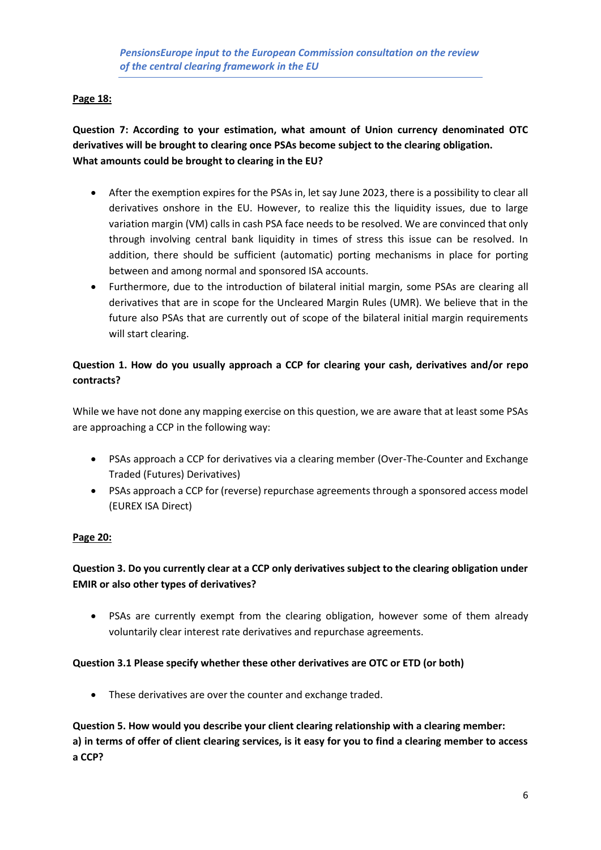## **Page 18:**

**Question 7: According to your estimation, what amount of Union currency denominated OTC derivatives will be brought to clearing once PSAs become subject to the clearing obligation. What amounts could be brought to clearing in the EU?**

- After the exemption expires for the PSAs in, let say June 2023, there is a possibility to clear all derivatives onshore in the EU. However, to realize this the liquidity issues, due to large variation margin (VM) calls in cash PSA face needs to be resolved. We are convinced that only through involving central bank liquidity in times of stress this issue can be resolved. In addition, there should be sufficient (automatic) porting mechanisms in place for porting between and among normal and sponsored ISA accounts.
- Furthermore, due to the introduction of bilateral initial margin, some PSAs are clearing all derivatives that are in scope for the Uncleared Margin Rules (UMR). We believe that in the future also PSAs that are currently out of scope of the bilateral initial margin requirements will start clearing.

## **Question 1. How do you usually approach a CCP for clearing your cash, derivatives and/or repo contracts?**

While we have not done any mapping exercise on this question, we are aware that at least some PSAs are approaching a CCP in the following way:

- PSAs approach a CCP for derivatives via a clearing member (Over-The-Counter and Exchange Traded (Futures) Derivatives)
- PSAs approach a CCP for (reverse) repurchase agreements through a sponsored access model (EUREX ISA Direct)

## **Page 20:**

## **Question 3. Do you currently clear at a CCP only derivatives subject to the clearing obligation under EMIR or also other types of derivatives?**

• PSAs are currently exempt from the clearing obligation, however some of them already voluntarily clear interest rate derivatives and repurchase agreements.

#### **Question 3.1 Please specify whether these other derivatives are OTC or ETD (or both)**

• These derivatives are over the counter and exchange traded.

**Question 5. How would you describe your client clearing relationship with a clearing member: a) in terms of offer of client clearing services, is it easy for you to find a clearing member to access a CCP?**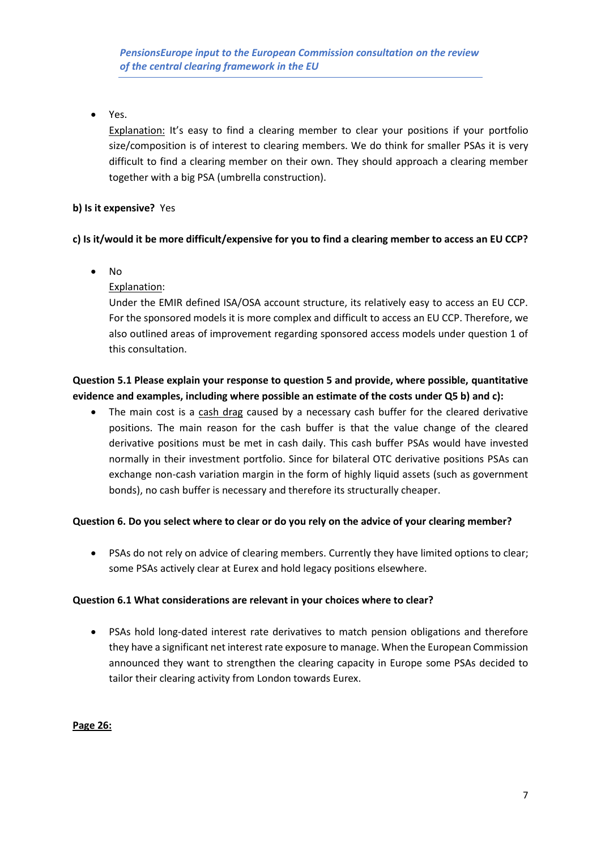• Yes.

Explanation: It's easy to find a clearing member to clear your positions if your portfolio size/composition is of interest to clearing members. We do think for smaller PSAs it is very difficult to find a clearing member on their own. They should approach a clearing member together with a big PSA (umbrella construction).

## **b) Is it expensive?** Yes

## **c) Is it/would it be more difficult/expensive for you to find a clearing member to access an EU CCP?**

• No

Explanation:

Under the EMIR defined ISA/OSA account structure, its relatively easy to access an EU CCP. For the sponsored models it is more complex and difficult to access an EU CCP. Therefore, we also outlined areas of improvement regarding sponsored access models under question 1 of this consultation.

## **Question 5.1 Please explain your response to question 5 and provide, where possible, quantitative evidence and examples, including where possible an estimate of the costs under Q5 b) and c):**

• The main cost is a cash drag caused by a necessary cash buffer for the cleared derivative positions. The main reason for the cash buffer is that the value change of the cleared derivative positions must be met in cash daily. This cash buffer PSAs would have invested normally in their investment portfolio. Since for bilateral OTC derivative positions PSAs can exchange non-cash variation margin in the form of highly liquid assets (such as government bonds), no cash buffer is necessary and therefore its structurally cheaper.

## **Question 6. Do you select where to clear or do you rely on the advice of your clearing member?**

• PSAs do not rely on advice of clearing members. Currently they have limited options to clear; some PSAs actively clear at Eurex and hold legacy positions elsewhere.

## **Question 6.1 What considerations are relevant in your choices where to clear?**

• PSAs hold long-dated interest rate derivatives to match pension obligations and therefore they have a significant net interest rate exposure to manage. When the European Commission announced they want to strengthen the clearing capacity in Europe some PSAs decided to tailor their clearing activity from London towards Eurex.

**Page 26:**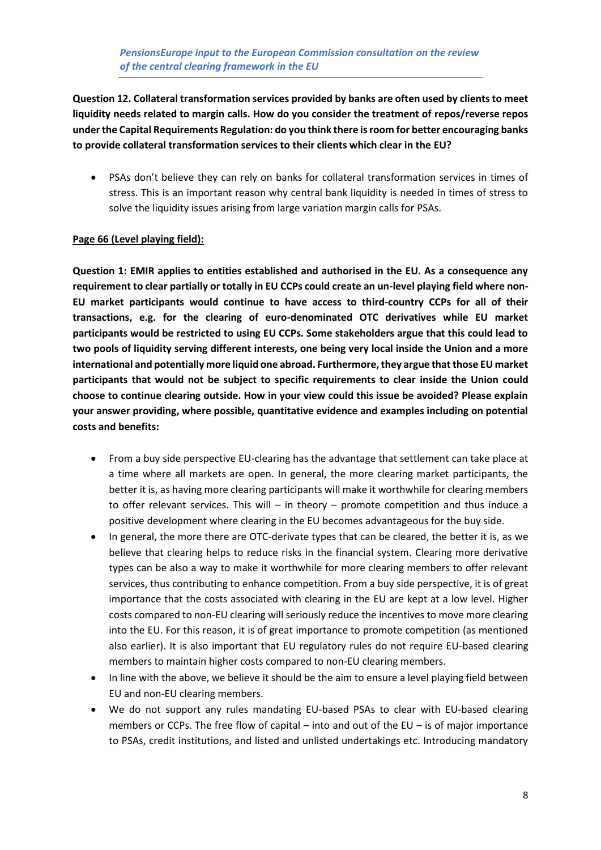**Question 12. Collateral transformation services provided by banks are often used by clients to meet liquidity needs related to margin calls. How do you consider the treatment of repos/reverse repos under the Capital Requirements Regulation: do you think there is room for better encouraging banks to provide collateral transformation services to their clients which clear in the EU?**

• PSAs don't believe they can rely on banks for collateral transformation services in times of stress. This is an important reason why central bank liquidity is needed in times of stress to solve the liquidity issues arising from large variation margin calls for PSAs.

#### **Page 66 (Level playing field):**

**Question 1: EMIR applies to entities established and authorised in the EU. As a consequence any requirement to clear partially or totally in EU CCPs could create an un-level playing field where non-EU market participants would continue to have access to third-country CCPs for all of their transactions, e.g. for the clearing of euro-denominated OTC derivatives while EU market participants would be restricted to using EU CCPs. Some stakeholders argue that this could lead to two pools of liquidity serving different interests, one being very local inside the Union and a more international and potentially more liquid one abroad. Furthermore, they argue that those EU market participants that would not be subject to specific requirements to clear inside the Union could choose to continue clearing outside. How in your view could this issue be avoided? Please explain your answer providing, where possible, quantitative evidence and examples including on potential costs and benefits:** 

- From a buy side perspective EU-clearing has the advantage that settlement can take place at a time where all markets are open. In general, the more clearing market participants, the better it is, as having more clearing participants will make it worthwhile for clearing members to offer relevant services. This will – in theory – promote competition and thus induce a positive development where clearing in the EU becomes advantageous for the buy side.
- In general, the more there are OTC-derivate types that can be cleared, the better it is, as we believe that clearing helps to reduce risks in the financial system. Clearing more derivative types can be also a way to make it worthwhile for more clearing members to offer relevant services, thus contributing to enhance competition. From a buy side perspective, it is of great importance that the costs associated with clearing in the EU are kept at a low level. Higher costs compared to non-EU clearing will seriously reduce the incentives to move more clearing into the EU. For this reason, it is of great importance to promote competition (as mentioned also earlier). It is also important that EU regulatory rules do not require EU-based clearing members to maintain higher costs compared to non-EU clearing members.
- In line with the above, we believe it should be the aim to ensure a level playing field between EU and non-EU clearing members.
- We do not support any rules mandating EU-based PSAs to clear with EU-based clearing members or CCPs. The free flow of capital – into and out of the EU – is of major importance to PSAs, credit institutions, and listed and unlisted undertakings etc. Introducing mandatory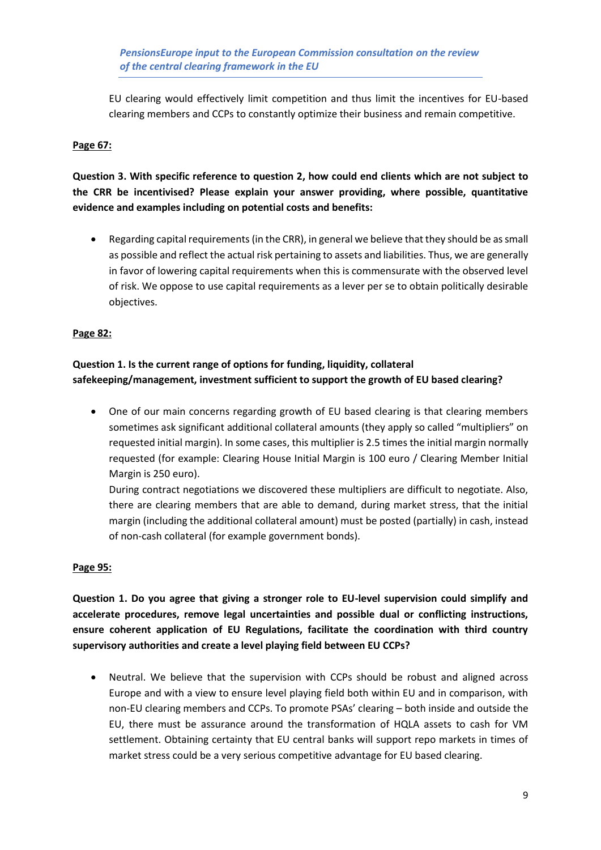EU clearing would effectively limit competition and thus limit the incentives for EU-based clearing members and CCPs to constantly optimize their business and remain competitive.

## **Page 67:**

**Question 3. With specific reference to question 2, how could end clients which are not subject to the CRR be incentivised? Please explain your answer providing, where possible, quantitative evidence and examples including on potential costs and benefits:**

• Regarding capital requirements (in the CRR), in general we believe that they should be as small as possible and reflect the actual risk pertaining to assets and liabilities. Thus, we are generally in favor of lowering capital requirements when this is commensurate with the observed level of risk. We oppose to use capital requirements as a lever per se to obtain politically desirable objectives.

#### **Page 82:**

## **Question 1. Is the current range of options for funding, liquidity, collateral safekeeping/management, investment sufficient to support the growth of EU based clearing?**

• One of our main concerns regarding growth of EU based clearing is that clearing members sometimes ask significant additional collateral amounts (they apply so called "multipliers" on requested initial margin). In some cases, this multiplier is 2.5 times the initial margin normally requested (for example: Clearing House Initial Margin is 100 euro / Clearing Member Initial Margin is 250 euro).

During contract negotiations we discovered these multipliers are difficult to negotiate. Also, there are clearing members that are able to demand, during market stress, that the initial margin (including the additional collateral amount) must be posted (partially) in cash, instead of non-cash collateral (for example government bonds).

#### **Page 95:**

**Question 1. Do you agree that giving a stronger role to EU-level supervision could simplify and accelerate procedures, remove legal uncertainties and possible dual or conflicting instructions, ensure coherent application of EU Regulations, facilitate the coordination with third country supervisory authorities and create a level playing field between EU CCPs?**

• Neutral. We believe that the supervision with CCPs should be robust and aligned across Europe and with a view to ensure level playing field both within EU and in comparison, with non-EU clearing members and CCPs. To promote PSAs' clearing – both inside and outside the EU, there must be assurance around the transformation of HQLA assets to cash for VM settlement. Obtaining certainty that EU central banks will support repo markets in times of market stress could be a very serious competitive advantage for EU based clearing.